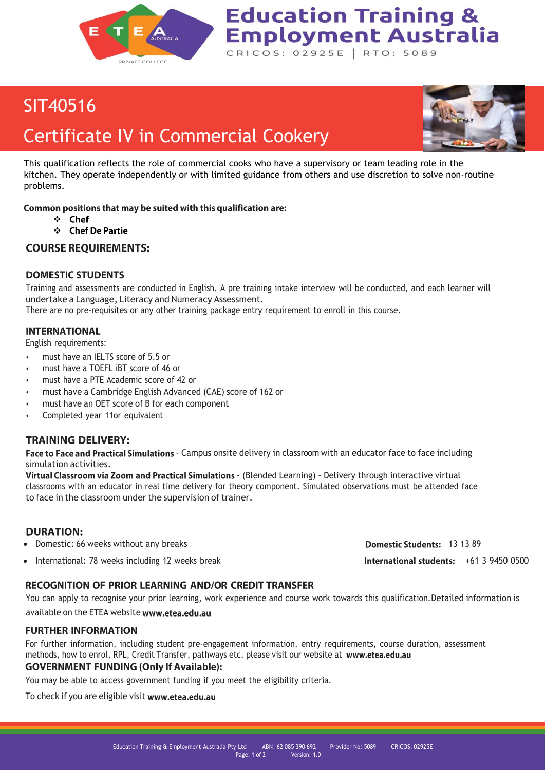

### SIT40516

## Certificate IV in Commercial Cookery



This qualification reflects the role of commercial cooks who have a supervisory or team leading role in the kitchen. They operate independently or with limited guidance from others and use discretion to solve non-routine problems.

**Education Training &** 

CRICOS: 02925E | RTO: 5089

**Employment Australia** 

Common positions that may be suited with this qualification are:

- ❖
	- ❖ Chef De Partie

**COURSE REQUIREMENTS:** 

#### **DOMESTIC STUDENTS**

Training and assessments are conducted in English. A pre training intake interview will be conducted, and each learner will undertake a Language, Literacy and Numeracy Assessment.

There are no pre-requisites or any other training package entry requirement to enroll in this course.

#### **INTERNATIONAL**

English requirements:

- must have an IELTS score of 5.5 or
- must have a TOEFL iBT score of 46 or
- must have a PTE Academic score of 42 or
- must have a Cambridge English Advanced (CAE) score of 162 or
- must have an OET score of B for each component
- Completed year 11or equivalent

#### **TRAINING DELIVERY:**

Face to Face and Practical Simulations - Campus onsite delivery in classroom with an educator face to face including simulation activities.

Virtual Classroom via Zoom and Practical Simulations - (Blended Learning) - Delivery through interactive virtual classrooms with an educator in real time delivery for theory component. Simulated observations must be attended face to face in the classroom under the supervision of trainer.

#### **DURATION:**

- **Domestic: 66 weeks without any breaks 13 13 89 Domestic: 66 weeks without any breaks** 13 13 89
- International: 78 weeks including 12 weeks break +61 3 9450 0500

#### **RECOGNITION OF PRIOR LEARNING AND/OR CREDIT TRANSFER**

You can apply to recognise your prior learning, work experience and course work towards this qualification.Detailed information is available on the ETEA website www.etea.edu.au

#### **FURTHER INFORMATION**

For further information, including student pre-engagement information, entry requirements, course duration, assessment methods, how to enrol, RPL, Credit Transfer, pathways etc. please visit our website at www.etea.edu.au

#### **GOVERNMENT FUNDING (Only If Available):**

You may be able to access government funding if you meet the eligibility criteria.

To check if you are eligible visi[t](http://www.etea.edu.au/) www.etea.edu.au

Education Training & Employment Australia Pty Ltd ABN: 62 085 390 692 Provider No: 5089 CRICOS: 02925E Page: 1 of 2